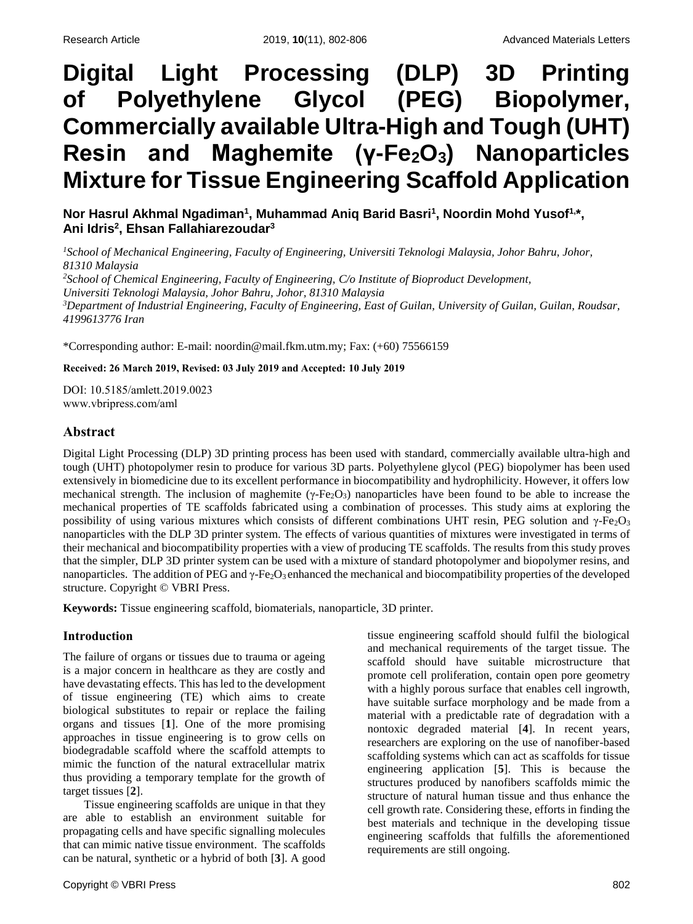# **Digital Light Processing (DLP) 3D Printing of Polyethylene Glycol (PEG) Biopolymer, Commercially available Ultra-High and Tough (UHT) Resin and Maghemite (γ-Fe2O3) Nanoparticles Mixture for Tissue Engineering Scaffold Application**

Nor Hasrul Akhmal Ngadiman<sup>1</sup>, Muhammad Aniq Barid Basri<sup>1</sup>, Noordin Mohd Yusof<sup>1,</sup>\*, **Ani Idris<sup>2</sup> , Ehsan Fallahiarezoudar<sup>3</sup>**

*<sup>1</sup>School of Mechanical Engineering, Faculty of Engineering, Universiti Teknologi Malaysia, Johor Bahru, Johor, 81310 Malaysia <sup>2</sup>School of Chemical Engineering, Faculty of Engineering, C/o Institute of Bioproduct Development, Universiti Teknologi Malaysia, Johor Bahru, Johor, 81310 Malaysia <sup>3</sup>Department of Industrial Engineering, Faculty of Engineering, East of Guilan, University of Guilan, Guilan, Roudsar, 4199613776 Iran*

\*Corresponding author: E-mail: noordin@mail.fkm.utm.my; Fax: (+60) 75566159

#### **Received: 26 March 2019, Revised: 03 July 2019 and Accepted: 10 July 2019**

DOI: 10.5185/amlett.2019.0023 www.vbripress.com/aml

# **Abstract**

Digital Light Processing (DLP) 3D printing process has been used with standard, commercially available ultra-high and tough (UHT) photopolymer resin to produce for various 3D parts. Polyethylene glycol (PEG) biopolymer has been used extensively in biomedicine due to its excellent performance in biocompatibility and hydrophilicity. However, it offers low mechanical strength. The inclusion of maghemite ( $\gamma$ -Fe<sub>2</sub>O<sub>3</sub>) nanoparticles have been found to be able to increase the mechanical properties of TE scaffolds fabricated using a combination of processes. This study aims at exploring the possibility of using various mixtures which consists of different combinations UHT resin, PEG solution and γ-Fe2O<sup>3</sup> nanoparticles with the DLP 3D printer system. The effects of various quantities of mixtures were investigated in terms of their mechanical and biocompatibility properties with a view of producing TE scaffolds. The results from this study proves that the simpler, DLP 3D printer system can be used with a mixture of standard photopolymer and biopolymer resins, and nanoparticles. The addition of PEG and  $\gamma$ -Fe<sub>2</sub>O<sub>3</sub> enhanced the mechanical and biocompatibility properties of the developed structure. Copyright © VBRI Press.

**Keywords:** Tissue engineering scaffold, biomaterials, nanoparticle, 3D printer.

# **Introduction**

The failure of organs or tissues due to trauma or ageing is a major concern in healthcare as they are costly and have devastating effects. This has led to the development of tissue engineering (TE) which aims to create biological substitutes to repair or replace the failing organs and tissues [**1**]. One of the more promising approaches in tissue engineering is to grow cells on biodegradable scaffold where the scaffold attempts to mimic the function of the natural extracellular matrix thus providing a temporary template for the growth of target tissues [**2**].

Tissue engineering scaffolds are unique in that they are able to establish an environment suitable for propagating cells and have specific signalling molecules that can mimic native tissue environment. The scaffolds can be natural, synthetic or a hybrid of both [**3**]. A good

tissue engineering scaffold should fulfil the biological and mechanical requirements of the target tissue. The scaffold should have suitable microstructure that promote cell proliferation, contain open pore geometry with a highly porous surface that enables cell ingrowth, have suitable surface morphology and be made from a material with a predictable rate of degradation with a nontoxic degraded material [**4**]. In recent years, researchers are exploring on the use of nanofiber-based scaffolding systems which can act as scaffolds for tissue engineering application [**5**]. This is because the structures produced by nanofibers scaffolds mimic the structure of natural human tissue and thus enhance the cell growth rate. Considering these, efforts in finding the best materials and technique in the developing tissue engineering scaffolds that fulfills the aforementioned requirements are still ongoing.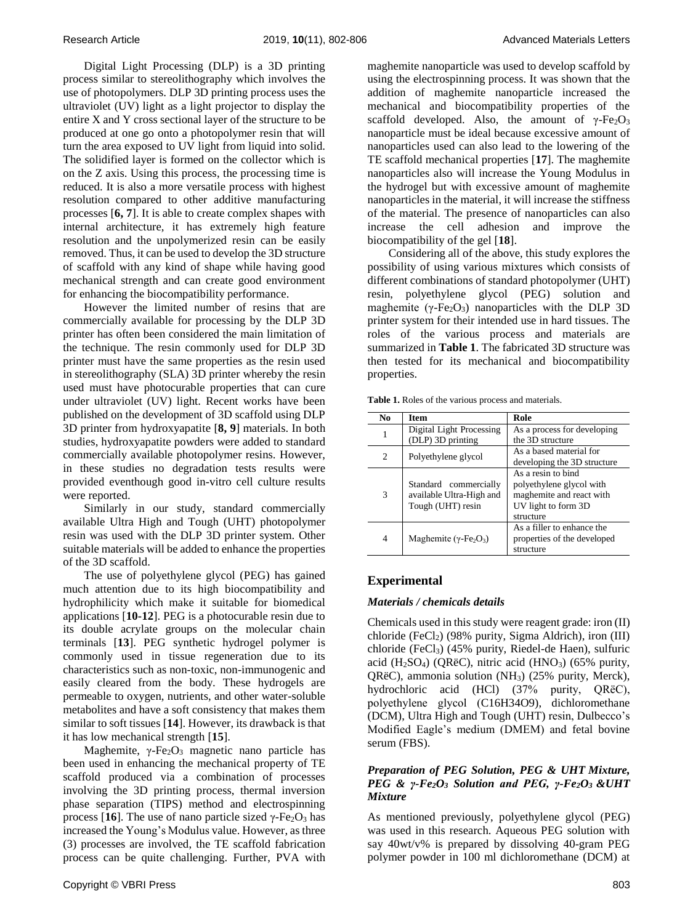Digital Light Processing (DLP) is a 3D printing process similar to stereolithography which involves the use of photopolymers. DLP 3D printing process uses the ultraviolet (UV) light as a light projector to display the entire X and Y cross sectional layer of the structure to be produced at one go onto a photopolymer resin that will turn the area exposed to UV light from liquid into solid. The solidified layer is formed on the collector which is on the Z axis. Using this process, the processing time is reduced. It is also a more versatile process with highest resolution compared to other additive manufacturing processes [**6, 7**]. It is able to create complex shapes with internal architecture, it has extremely high feature resolution and the unpolymerized resin can be easily removed. Thus, it can be used to develop the 3D structure of scaffold with any kind of shape while having good mechanical strength and can create good environment for enhancing the biocompatibility performance.

However the limited number of resins that are commercially available for processing by the DLP 3D printer has often been considered the main limitation of the technique. The resin commonly used for DLP 3D printer must have the same properties as the resin used in stereolithography (SLA) 3D printer whereby the resin used must have photocurable properties that can cure under ultraviolet (UV) light. Recent works have been published on the development of 3D scaffold using DLP 3D printer from hydroxyapatite [**8, 9**] materials. In both studies, hydroxyapatite powders were added to standard commercially available photopolymer resins. However, in these studies no degradation tests results were provided eventhough good in-vitro cell culture results were reported.

Similarly in our study, standard commercially available Ultra High and Tough (UHT) photopolymer resin was used with the DLP 3D printer system. Other suitable materials will be added to enhance the properties of the 3D scaffold.

The use of polyethylene glycol (PEG) has gained much attention due to its high biocompatibility and hydrophilicity which make it suitable for biomedical applications [**10-12**]. PEG is a photocurable resin due to its double acrylate groups on the molecular chain terminals [**13**]. PEG synthetic hydrogel polymer is commonly used in tissue regeneration due to its characteristics such as non-toxic, non-immunogenic and easily cleared from the body. These hydrogels are permeable to oxygen, nutrients, and other water-soluble metabolites and have a soft consistency that makes them similar to soft tissues [**14**]. However, its drawback is that it has low mechanical strength [**15**].

Maghemite,  $\gamma$ -Fe<sub>2</sub>O<sub>3</sub> magnetic nano particle has been used in enhancing the mechanical property of TE scaffold produced via a combination of processes involving the 3D printing process, thermal inversion phase separation (TIPS) method and electrospinning process [16]. The use of nano particle sized  $γ$ -Fe<sub>2</sub>O<sub>3</sub> has increased the Young's Modulus value. However, asthree (3) processes are involved, the TE scaffold fabrication process can be quite challenging. Further, PVA with maghemite nanoparticle was used to develop scaffold by using the electrospinning process. It was shown that the addition of maghemite nanoparticle increased the mechanical and biocompatibility properties of the scaffold developed. Also, the amount of  $\gamma$ -Fe<sub>2</sub>O<sub>3</sub> nanoparticle must be ideal because excessive amount of nanoparticles used can also lead to the lowering of the TE scaffold mechanical properties [**17**]. The maghemite nanoparticles also will increase the Young Modulus in the hydrogel but with excessive amount of maghemite nanoparticles in the material, it will increase the stiffness of the material. The presence of nanoparticles can also increase the cell adhesion and improve the biocompatibility of the gel [**18**].

Considering all of the above, this study explores the possibility of using various mixtures which consists of different combinations of standard photopolymer (UHT) resin, polyethylene glycol (PEG) solution and maghemite ( $\gamma$ -Fe<sub>2</sub>O<sub>3</sub>) nanoparticles with the DLP 3D printer system for their intended use in hard tissues. The roles of the various process and materials are summarized in **Table 1**. The fabricated 3D structure was then tested for its mechanical and biocompatibility properties.

| <b>Table 1.</b> Roles of the various process and materials. |  |  |  |  |  |  |  |
|-------------------------------------------------------------|--|--|--|--|--|--|--|
|-------------------------------------------------------------|--|--|--|--|--|--|--|

| No             | <b>Item</b>                                                            | Role                                                                                                           |
|----------------|------------------------------------------------------------------------|----------------------------------------------------------------------------------------------------------------|
| 1              | Digital Light Processing<br>(DLP) 3D printing                          | As a process for developing<br>the 3D structure                                                                |
| $\overline{c}$ | Polyethylene glycol                                                    | As a based material for<br>developing the 3D structure                                                         |
| 3              | Standard commercially<br>available Ultra-High and<br>Tough (UHT) resin | As a resin to bind<br>polyethylene glycol with<br>maghemite and react with<br>UV light to form 3D<br>structure |
| 4              | Maghemite ( $\gamma$ -Fe <sub>2</sub> O <sub>3</sub> )                 | As a filler to enhance the<br>properties of the developed<br>structure                                         |

# **Experimental**

### *Materials / chemicals details*

Chemicals used in this study were reagent grade: iron (II) chloride (FeCl<sub>2</sub>) (98% purity, Sigma Aldrich), iron (III) chloride (FeCl<sub>3</sub>) (45% purity, Riedel-de Haen), sulfuric acid (H<sub>2</sub>SO<sub>4</sub>) (ORëC), nitric acid (HNO<sub>3</sub>) (65% purity, QRëC), ammonia solution (NH3) (25% purity, Merck), hydrochloric acid (HCl) (37% purity, QRëC), polyethylene glycol (C16H34O9), dichloromethane (DCM), Ultra High and Tough (UHT) resin, Dulbecco's Modified Eagle's medium (DMEM) and fetal bovine serum (FBS).

## *Preparation of PEG Solution, PEG & UHT Mixture, PEG & γ-Fe2O<sup>3</sup> Solution and PEG, γ-Fe2O3 &UHT Mixture*

As mentioned previously, polyethylene glycol (PEG) was used in this research. Aqueous PEG solution with say 40wt/v% is prepared by dissolving 40-gram PEG polymer powder in 100 ml dichloromethane (DCM) at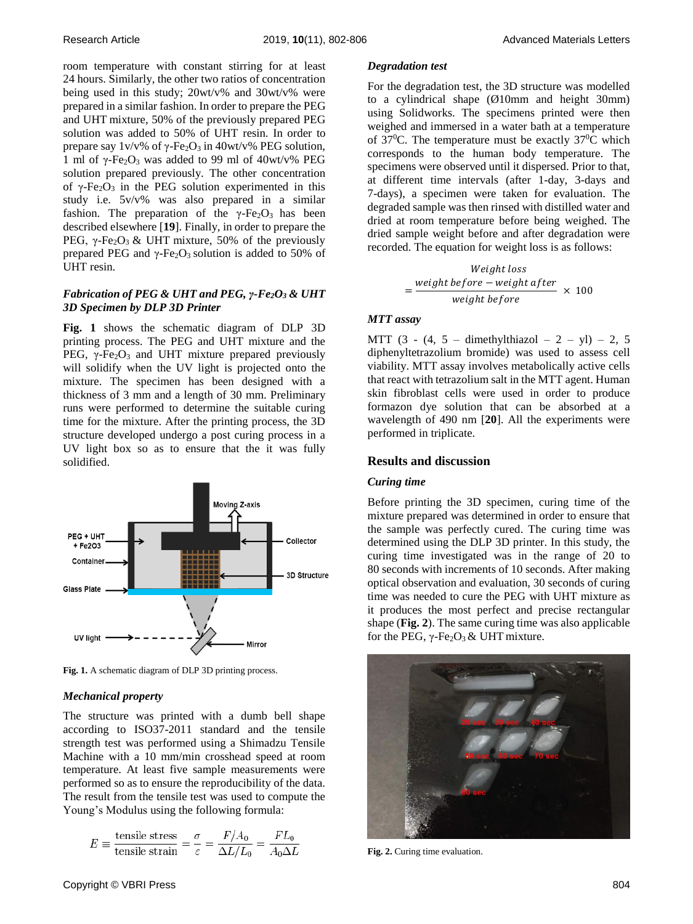room temperature with constant stirring for at least 24 hours. Similarly, the other two ratios of concentration being used in this study; 20wt/v% and 30wt/v% were prepared in a similar fashion. In order to prepare the PEG and UHT mixture, 50% of the previously prepared PEG solution was added to 50% of UHT resin. In order to prepare say  $1v/v\%$  of  $\gamma$ -Fe<sub>2</sub>O<sub>3</sub> in 40wt/v% PEG solution, 1 ml of γ-Fe<sub>2</sub>O<sub>3</sub> was added to 99 ml of 40wt/v% PEG solution prepared previously. The other concentration of  $γ$ -Fe<sub>2</sub>O<sub>3</sub> in the PEG solution experimented in this study i.e. 5v/v% was also prepared in a similar fashion. The preparation of the  $\gamma$ -Fe<sub>2</sub>O<sub>3</sub> has been described elsewhere [**19**]. Finally, in order to prepare the PEG,  $γ$ -Fe<sub>2</sub>O<sub>3</sub> & UHT mixture, 50% of the previously prepared PEG and  $γ$ -Fe<sub>2</sub>O<sub>3</sub> solution is added to 50% of UHT resin.

## *Fabrication of PEG & UHT and PEG, γ-Fe2O<sup>3</sup> & UHT 3D Specimen by DLP 3D Printer*

**Fig. 1** shows the schematic diagram of DLP 3D printing process. The PEG and UHT mixture and the PEG,  $γ$ -Fe<sub>2</sub>O<sub>3</sub> and UHT mixture prepared previously will solidify when the UV light is projected onto the mixture. The specimen has been designed with a thickness of 3 mm and a length of 30 mm. Preliminary runs were performed to determine the suitable curing time for the mixture. After the printing process, the 3D structure developed undergo a post curing process in a UV light box so as to ensure that the it was fully solidified.



**Fig. 1.** A schematic diagram of DLP 3D printing process.

#### *Mechanical property*

The structure was printed with a dumb bell shape according to ISO37-2011 standard and the tensile strength test was performed using a Shimadzu Tensile Machine with a 10 mm/min crosshead speed at room temperature. At least five sample measurements were performed so as to ensure the reproducibility of the data. The result from the tensile test was used to compute the Young's Modulus using the following formula:

$$
E \equiv \frac{\text{tensile stress}}{\text{tensile strain}} = \frac{\sigma}{\varepsilon} = \frac{F/A_0}{\Delta L/L_0} = \frac{FL_0}{A_0\Delta L}
$$

For the degradation test, the 3D structure was modelled to a cylindrical shape (Ø10mm and height 30mm) using Solidworks. The specimens printed were then weighed and immersed in a water bath at a temperature of 37<sup>0</sup>C. The temperature must be exactly 37<sup>0</sup>C which corresponds to the human body temperature. The specimens were observed until it dispersed. Prior to that, at different time intervals (after 1-day, 3-days and 7-days), a specimen were taken for evaluation. The degraded sample was then rinsed with distilled water and dried at room temperature before being weighed. The dried sample weight before and after degradation were recorded. The equation for weight loss is as follows:

Weight loss  
= 
$$
\frac{weight\ before - weight\ after}{weight\ before} \times 100
$$

### *MTT assay*

=

MTT  $(3 - (4, 5 -$  dimethylthiazol  $-2 -$  yl)  $- 2, 5$ diphenyltetrazolium bromide) was used to assess cell viability. MTT assay involves metabolically active cells that react with tetrazolium salt in the MTT agent. Human skin fibroblast cells were used in order to produce formazon dye solution that can be absorbed at a wavelength of 490 nm [**20**]. All the experiments were performed in triplicate.

#### **Results and discussion**

#### *Curing time*

Before printing the 3D specimen, curing time of the mixture prepared was determined in order to ensure that the sample was perfectly cured. The curing time was determined using the DLP 3D printer. In this study, the curing time investigated was in the range of 20 to 80 seconds with increments of 10 seconds. After making optical observation and evaluation, 30 seconds of curing time was needed to cure the PEG with UHT mixture as it produces the most perfect and precise rectangular shape (**Fig. 2**). The same curing time was also applicable for the PEG,  $γ$ -Fe<sub>2</sub>O<sub>3</sub> & UHT mixture.



**Fig. 2.** Curing time evaluation.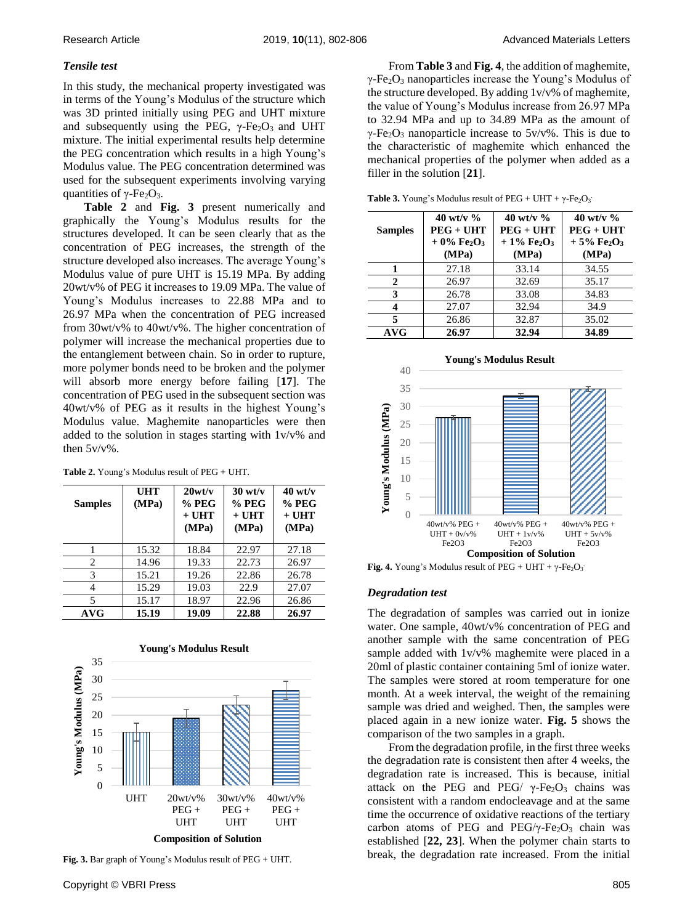## *Tensile test*

In this study, the mechanical property investigated was in terms of the Young's Modulus of the structure which was 3D printed initially using PEG and UHT mixture and subsequently using the PEG,  $\gamma$ -Fe<sub>2</sub>O<sub>3</sub> and UHT mixture. The initial experimental results help determine the PEG concentration which results in a high Young's Modulus value. The PEG concentration determined was used for the subsequent experiments involving varying quantities of  $γ$ -Fe<sub>2</sub>O<sub>3</sub>.

**Table 2** and **Fig. 3** present numerically and graphically the Young's Modulus results for the structures developed. It can be seen clearly that as the concentration of PEG increases, the strength of the structure developed also increases. The average Young's Modulus value of pure UHT is 15.19 MPa. By adding 20wt/v% of PEG it increases to 19.09 MPa. The value of Young's Modulus increases to 22.88 MPa and to 26.97 MPa when the concentration of PEG increased from 30wt/v% to 40wt/v%. The higher concentration of polymer will increase the mechanical properties due to the entanglement between chain. So in order to rupture, more polymer bonds need to be broken and the polymer will absorb more energy before failing [**17**]. The concentration of PEG used in the subsequent section was 40wt/v% of PEG as it results in the highest Young's Modulus value. Maghemite nanoparticles were then added to the solution in stages starting with 1v/v% and then 5v/v%.

| <b>Table 2.</b> Young's Modulus result of PEG + UHT. |  |
|------------------------------------------------------|--|
|------------------------------------------------------|--|

| <b>Samples</b> | <b>UHT</b><br>(MPa) | 20wt/v<br>$%$ PEG<br>$+$ UHT<br>(MPa) | $30 \text{ wt/v}$<br>$%$ PEG<br>$+$ UHT<br>(MPa) | $40 \text{ wt/v}$<br>$%$ PEG<br>$+$ UHT<br>(MPa) |
|----------------|---------------------|---------------------------------------|--------------------------------------------------|--------------------------------------------------|
| 1              | 15.32               | 18.84                                 | 22.97                                            | 27.18                                            |
| 2              | 14.96               | 19.33                                 | 22.73                                            | 26.97                                            |
| 3              | 15.21               | 19.26                                 | 22.86                                            | 26.78                                            |
| 4              | 15.29               | 19.03                                 | 22.9                                             | 27.07                                            |
| 5              | 15.17               | 18.97                                 | 22.96                                            | 26.86                                            |
| <b>AVG</b>     | 15.19               | 19.09                                 | 22.88                                            | 26.97                                            |



**Composition of Solution**

**Fig. 3.** Bar graph of Young's Modulus result of PEG + UHT.

From **Table 3** and **Fig. 4**, the addition of maghemite,  $\gamma$ -Fe<sub>2</sub>O<sub>3</sub> nanoparticles increase the Young's Modulus of the structure developed. By adding 1v/v% of maghemite, the value of Young's Modulus increase from 26.97 MPa to 32.94 MPa and up to 34.89 MPa as the amount of  $\gamma$ -Fe<sub>2</sub>O<sub>3</sub> nanoparticle increase to 5v/v%. This is due to the characteristic of maghemite which enhanced the mechanical properties of the polymer when added as a filler in the solution [**21**].

**Table 3.** Young's Modulus result of PEG + UHT +  $\gamma$ -Fe<sub>2</sub>O<sub>3</sub>.

| <b>Samples</b> | 40 wt/v $\%$<br>$PEG + UHT$<br>$+0\%$ Fe <sub>2</sub> O <sub>3</sub><br>(MPa) | 40 wt/v $\%$<br>$PEG + UHT$<br>$+1\%$ Fe <sub>2</sub> O <sub>3</sub><br>(MPa) | 40 wt/v $\%$<br>$PEG + UHT$<br>$+5\%$ Fe <sub>2</sub> O <sub>3</sub><br>(MPa) |
|----------------|-------------------------------------------------------------------------------|-------------------------------------------------------------------------------|-------------------------------------------------------------------------------|
|                | 27.18                                                                         | 33.14                                                                         | 34.55                                                                         |
| 2              | 26.97                                                                         | 32.69                                                                         | 35.17                                                                         |
| 3              | 26.78                                                                         | 33.08                                                                         | 34.83                                                                         |
| 4              | 27.07                                                                         | 32.94                                                                         | 34.9                                                                          |
| 5              | 26.86                                                                         | 32.87                                                                         | 35.02                                                                         |
| AVG            | 26.97                                                                         | 32.94                                                                         | 34.89                                                                         |



**Fig. 4.** Young's Modulus result of  $PEG + UHT + \gamma - Fe_2O_3$ 

### *Degradation test*

The degradation of samples was carried out in ionize water. One sample, 40wt/v% concentration of PEG and another sample with the same concentration of PEG sample added with  $1v/v\%$  maghemite were placed in a 20ml of plastic container containing 5ml of ionize water. The samples were stored at room temperature for one month. At a week interval, the weight of the remaining sample was dried and weighed. Then, the samples were placed again in a new ionize water. **Fig. 5** shows the comparison of the two samples in a graph.

From the degradation profile, in the first three weeks the degradation rate is consistent then after 4 weeks, the degradation rate is increased. This is because, initial attack on the PEG and PEG/  $\gamma$ -Fe<sub>2</sub>O<sub>3</sub> chains was consistent with a random endocleavage and at the same time the occurrence of oxidative reactions of the tertiary carbon atoms of PEG and PEG/ $\gamma$ -Fe<sub>2</sub>O<sub>3</sub> chain was established [**22, 23**]. When the polymer chain starts to break, the degradation rate increased. From the initial